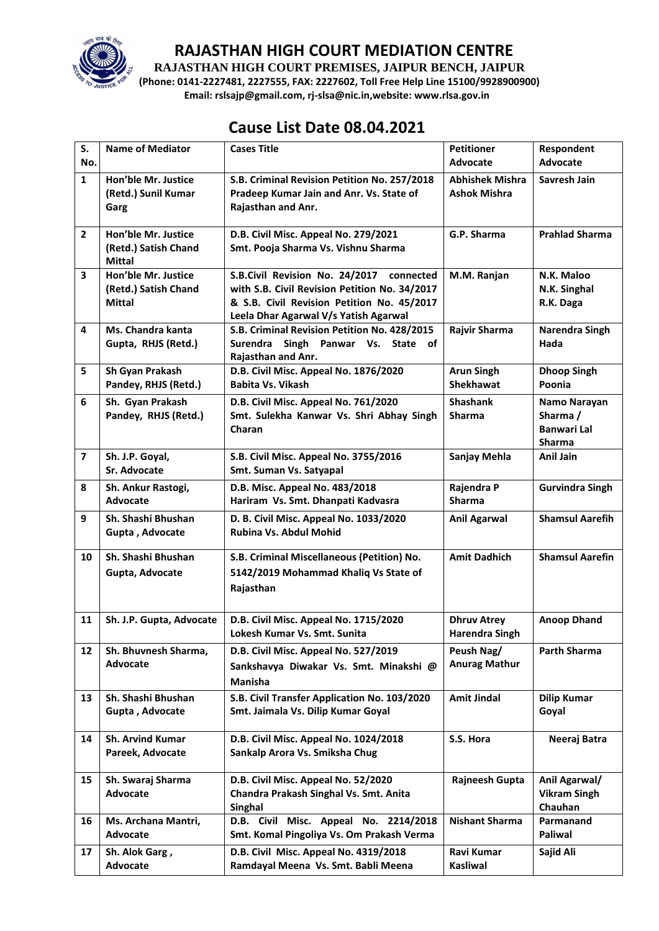

**RAJASTHAN HIGH COURT PREMISES, JAIPUR BENCH, JAIPUR**

**(Phone: 0141-2227481, 2227555, FAX: 2227602, Toll Free Help Line 15100/9928900900) Email: rslsajp@gmail.com, rj-slsa@nic.in,website: www.rlsa.gov.in**

## **Cause List Date 08.04.2021**

| S.<br>No.               | <b>Name of Mediator</b>                                      | <b>Cases Title</b>                                                                                                                                                               | <b>Petitioner</b><br><b>Advocate</b>          | Respondent<br><b>Advocate</b>                            |
|-------------------------|--------------------------------------------------------------|----------------------------------------------------------------------------------------------------------------------------------------------------------------------------------|-----------------------------------------------|----------------------------------------------------------|
| $\mathbf{1}$            | Hon'ble Mr. Justice<br>(Retd.) Sunil Kumar<br>Garg           | S.B. Criminal Revision Petition No. 257/2018<br>Pradeep Kumar Jain and Anr. Vs. State of<br>Rajasthan and Anr.                                                                   | <b>Abhishek Mishra</b><br><b>Ashok Mishra</b> | Savresh Jain                                             |
| $\mathbf{2}$            | Hon'ble Mr. Justice<br>(Retd.) Satish Chand<br><b>Mittal</b> | D.B. Civil Misc. Appeal No. 279/2021<br>Smt. Pooja Sharma Vs. Vishnu Sharma                                                                                                      | G.P. Sharma                                   | <b>Prahlad Sharma</b>                                    |
| 3                       | Hon'ble Mr. Justice<br>(Retd.) Satish Chand<br><b>Mittal</b> | S.B.Civil Revision No. 24/2017 connected<br>with S.B. Civil Revision Petition No. 34/2017<br>& S.B. Civil Revision Petition No. 45/2017<br>Leela Dhar Agarwal V/s Yatish Agarwal | M.M. Ranjan                                   | N.K. Maloo<br>N.K. Singhal<br>R.K. Daga                  |
| 4                       | Ms. Chandra kanta<br>Gupta, RHJS (Retd.)                     | S.B. Criminal Revision Petition No. 428/2015<br>Surendra Singh Panwar Vs. State of<br>Rajasthan and Anr.                                                                         | Rajvir Sharma                                 | Narendra Singh<br>Hada                                   |
| 5                       | Sh Gyan Prakash<br>Pandey, RHJS (Retd.)                      | D.B. Civil Misc. Appeal No. 1876/2020<br>Babita Vs. Vikash                                                                                                                       | <b>Arun Singh</b><br><b>Shekhawat</b>         | <b>Dhoop Singh</b><br>Poonia                             |
| 6                       | Sh. Gyan Prakash<br>Pandey, RHJS (Retd.)                     | D.B. Civil Misc. Appeal No. 761/2020<br>Smt. Sulekha Kanwar Vs. Shri Abhay Singh<br>Charan                                                                                       | <b>Shashank</b><br>Sharma                     | Namo Narayan<br>Sharma /<br><b>Banwari Lal</b><br>Sharma |
| $\overline{\mathbf{z}}$ | Sh. J.P. Goyal,<br>Sr. Advocate                              | S.B. Civil Misc. Appeal No. 3755/2016<br>Smt. Suman Vs. Satyapal                                                                                                                 | Sanjay Mehla                                  | Anil Jain                                                |
| 8                       | Sh. Ankur Rastogi,<br>Advocate                               | D.B. Misc. Appeal No. 483/2018<br>Hariram Vs. Smt. Dhanpati Kadvasra                                                                                                             | Rajendra P<br><b>Sharma</b>                   | <b>Gurvindra Singh</b>                                   |
| 9                       | Sh. Shashi Bhushan<br>Gupta, Advocate                        | D. B. Civil Misc. Appeal No. 1033/2020<br>Rubina Vs. Abdul Mohid                                                                                                                 | <b>Anil Agarwal</b>                           | <b>Shamsul Aarefih</b>                                   |
| 10                      | Sh. Shashi Bhushan<br>Gupta, Advocate                        | S.B. Criminal Miscellaneous (Petition) No.<br>5142/2019 Mohammad Khaliq Vs State of<br>Rajasthan                                                                                 | <b>Amit Dadhich</b>                           | <b>Shamsul Aarefin</b>                                   |
| 11                      | Sh. J.P. Gupta, Advocate                                     | D.B. Civil Misc. Appeal No. 1715/2020<br>Lokesh Kumar Vs. Smt. Sunita                                                                                                            | <b>Dhruv Atrey</b><br><b>Harendra Singh</b>   | <b>Anoop Dhand</b>                                       |
| 12                      | Sh. Bhuvnesh Sharma,<br>Advocate                             | D.B. Civil Misc. Appeal No. 527/2019<br>Sankshavya Diwakar Vs. Smt. Minakshi @<br>Manisha                                                                                        | Peush Nag/<br><b>Anurag Mathur</b>            | Parth Sharma                                             |
| 13                      | Sh. Shashi Bhushan<br>Gupta, Advocate                        | S.B. Civil Transfer Application No. 103/2020<br>Smt. Jaimala Vs. Dilip Kumar Goyal                                                                                               | <b>Amit Jindal</b>                            | <b>Dilip Kumar</b><br>Goyal                              |
| 14                      | <b>Sh. Arvind Kumar</b><br>Pareek, Advocate                  | D.B. Civil Misc. Appeal No. 1024/2018<br>Sankalp Arora Vs. Smiksha Chug                                                                                                          | S.S. Hora                                     | Neeraj Batra                                             |
| 15                      | Sh. Swaraj Sharma<br>Advocate                                | D.B. Civil Misc. Appeal No. 52/2020<br>Chandra Prakash Singhal Vs. Smt. Anita<br>Singhal                                                                                         | Rajneesh Gupta                                | Anil Agarwal/<br><b>Vikram Singh</b><br>Chauhan          |
| 16                      | Ms. Archana Mantri,<br>Advocate                              | D.B. Civil Misc. Appeal No. 2214/2018<br>Smt. Komal Pingoliya Vs. Om Prakash Verma                                                                                               | <b>Nishant Sharma</b>                         | Parmanand<br>Paliwal                                     |
| 17                      | Sh. Alok Garg,<br>Advocate                                   | D.B. Civil Misc. Appeal No. 4319/2018<br>Ramdayal Meena Vs. Smt. Babli Meena                                                                                                     | Ravi Kumar<br><b>Kasliwal</b>                 | Sajid Ali                                                |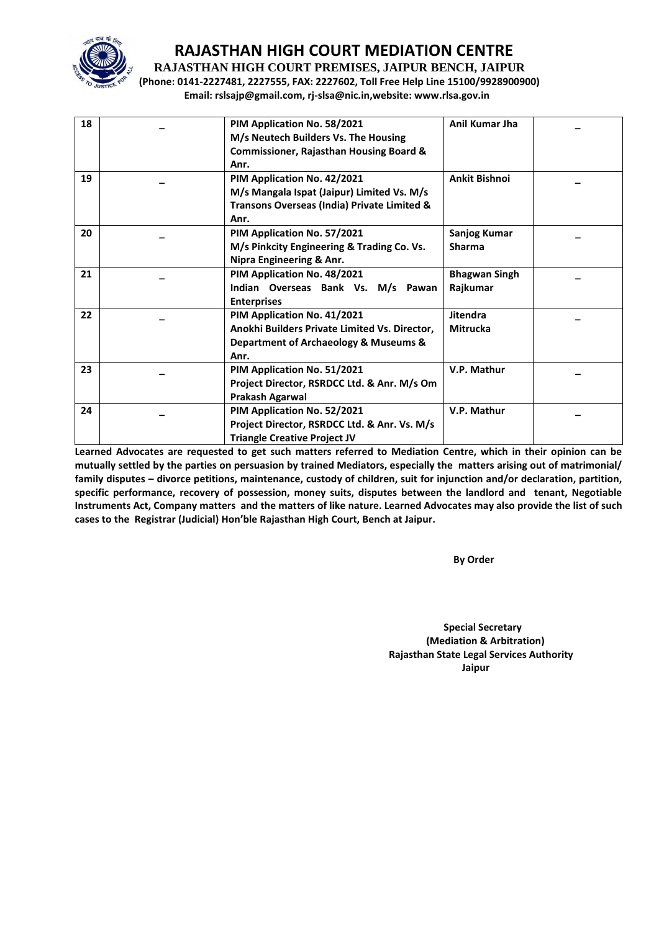

**RAJASTHAN HIGH COURT PREMISES, JAIPUR BENCH, JAIPUR**

**(Phone: 0141-2227481, 2227555, FAX: 2227602, Toll Free Help Line 15100/9928900900) Email: rslsajp@gmail.com, rj-slsa@nic.in,website: www.rlsa.gov.in**

| 18 | PIM Application No. 58/2021<br>M/s Neutech Builders Vs. The Housing<br><b>Commissioner, Rajasthan Housing Board &amp;</b> | Anil Kumar Jha       |  |
|----|---------------------------------------------------------------------------------------------------------------------------|----------------------|--|
|    | Anr.                                                                                                                      |                      |  |
| 19 | PIM Application No. 42/2021                                                                                               | <b>Ankit Bishnoi</b> |  |
|    | M/s Mangala Ispat (Jaipur) Limited Vs. M/s                                                                                |                      |  |
|    | Transons Overseas (India) Private Limited &                                                                               |                      |  |
|    | Anr.                                                                                                                      |                      |  |
| 20 | PIM Application No. 57/2021                                                                                               | Sanjog Kumar         |  |
|    | M/s Pinkcity Engineering & Trading Co. Vs.                                                                                | <b>Sharma</b>        |  |
|    | Nipra Engineering & Anr.                                                                                                  |                      |  |
| 21 | PIM Application No. 48/2021                                                                                               | <b>Bhagwan Singh</b> |  |
|    | Indian Overseas Bank Vs. M/s Pawan                                                                                        | Rajkumar             |  |
|    | <b>Enterprises</b>                                                                                                        |                      |  |
|    |                                                                                                                           |                      |  |
| 22 | PIM Application No. 41/2021                                                                                               | <b>Jitendra</b>      |  |
|    | Anokhi Builders Private Limited Vs. Director,                                                                             | <b>Mitrucka</b>      |  |
|    | Department of Archaeology & Museums &                                                                                     |                      |  |
|    | Anr.                                                                                                                      |                      |  |
| 23 | PIM Application No. 51/2021                                                                                               | V.P. Mathur          |  |
|    | Project Director, RSRDCC Ltd. & Anr. M/s Om                                                                               |                      |  |
|    | Prakash Agarwal                                                                                                           |                      |  |
| 24 | PIM Application No. 52/2021                                                                                               | V.P. Mathur          |  |
|    | Project Director, RSRDCC Ltd. & Anr. Vs. M/s                                                                              |                      |  |
|    |                                                                                                                           |                      |  |
|    | <b>Triangle Creative Project JV</b>                                                                                       |                      |  |

**Learned Advocates are requested to get such matters referred to Mediation Centre, which in their opinion can be mutually settled by the parties on persuasion by trained Mediators, especially the matters arising out of matrimonial/ family disputes – divorce petitions, maintenance, custody of children, suit for injunction and/or declaration, partition, specific performance, recovery of possession, money suits, disputes between the landlord and tenant, Negotiable Instruments Act, Company matters and the matters of like nature. Learned Advocates may also provide the list of such cases to the Registrar (Judicial) Hon'ble Rajasthan High Court, Bench at Jaipur.** 

**By Order** 

 **Special Secretary (Mediation & Arbitration) Rajasthan State Legal Services Authority Jaipur**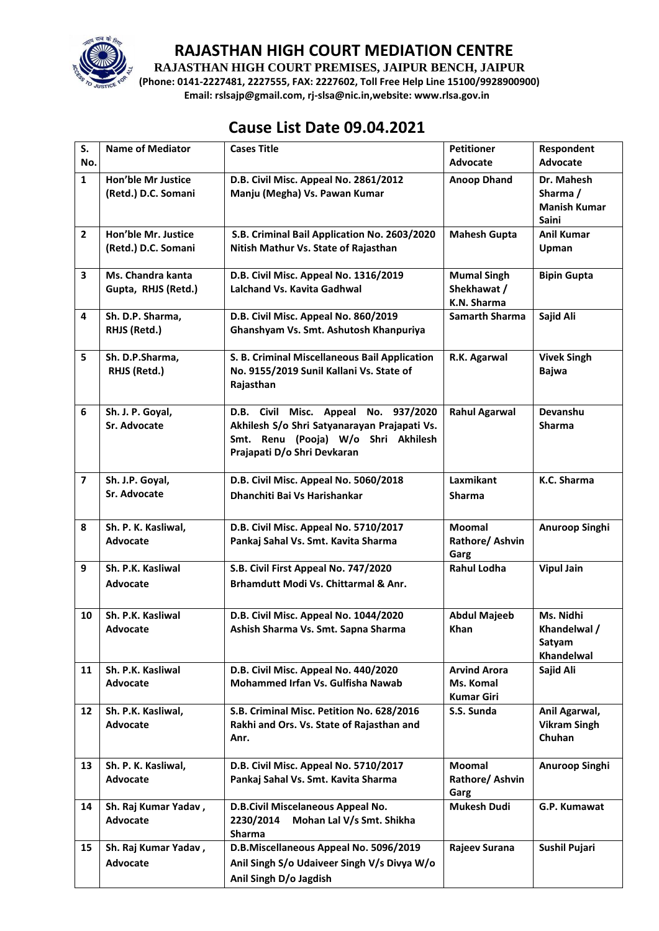

**RAJASTHAN HIGH COURT PREMISES, JAIPUR BENCH, JAIPUR**

**(Phone: 0141-2227481, 2227555, FAX: 2227602, Toll Free Help Line 15100/9928900900) Email: rslsajp@gmail.com, rj-slsa@nic.in,website: www.rlsa.gov.in**

# **Cause List Date 09.04.2021**

| S.                      | <b>Name of Mediator</b>                          | <b>Cases Title</b>                                                                                                                                            | <b>Petitioner</b>                                     | Respondent                                                    |
|-------------------------|--------------------------------------------------|---------------------------------------------------------------------------------------------------------------------------------------------------------------|-------------------------------------------------------|---------------------------------------------------------------|
| No.                     |                                                  |                                                                                                                                                               | Advocate                                              | Advocate                                                      |
| $\mathbf{1}$            | <b>Hon'ble Mr Justice</b><br>(Retd.) D.C. Somani | D.B. Civil Misc. Appeal No. 2861/2012<br>Manju (Megha) Vs. Pawan Kumar                                                                                        | <b>Anoop Dhand</b>                                    | Dr. Mahesh<br>Sharma /<br><b>Manish Kumar</b><br><b>Saini</b> |
| $\overline{2}$          | Hon'ble Mr. Justice<br>(Retd.) D.C. Somani       | S.B. Criminal Bail Application No. 2603/2020<br>Nitish Mathur Vs. State of Rajasthan                                                                          | <b>Mahesh Gupta</b>                                   | <b>Anil Kumar</b><br>Upman                                    |
| 3                       | Ms. Chandra kanta<br>Gupta, RHJS (Retd.)         | D.B. Civil Misc. Appeal No. 1316/2019<br>Lalchand Vs. Kavita Gadhwal                                                                                          | <b>Mumal Singh</b><br>Shekhawat /<br>K.N. Sharma      | <b>Bipin Gupta</b>                                            |
| 4                       | Sh. D.P. Sharma,<br>RHJS (Retd.)                 | D.B. Civil Misc. Appeal No. 860/2019<br>Ghanshyam Vs. Smt. Ashutosh Khanpuriya                                                                                | Samarth Sharma                                        | Sajid Ali                                                     |
| 5                       | Sh. D.P.Sharma,<br>RHJS (Retd.)                  | S. B. Criminal Miscellaneous Bail Application<br>No. 9155/2019 Sunil Kallani Vs. State of<br>Rajasthan                                                        | R.K. Agarwal                                          | <b>Vivek Singh</b><br><b>Bajwa</b>                            |
| 6                       | Sh. J. P. Goyal,<br>Sr. Advocate                 | D.B. Civil Misc. Appeal<br>No. 937/2020<br>Akhilesh S/o Shri Satyanarayan Prajapati Vs.<br>Smt. Renu (Pooja) W/o Shri Akhilesh<br>Prajapati D/o Shri Devkaran | <b>Rahul Agarwal</b>                                  | Devanshu<br><b>Sharma</b>                                     |
| $\overline{\mathbf{z}}$ | Sh. J.P. Goyal,<br>Sr. Advocate                  | D.B. Civil Misc. Appeal No. 5060/2018<br>Dhanchiti Bai Vs Harishankar                                                                                         | <b>Laxmikant</b><br><b>Sharma</b>                     | K.C. Sharma                                                   |
| 8                       | Sh. P. K. Kasliwal,<br>Advocate                  | D.B. Civil Misc. Appeal No. 5710/2017<br>Pankaj Sahal Vs. Smt. Kavita Sharma                                                                                  | Moomal<br>Rathore/ Ashvin<br>Garg                     | Anuroop Singhi                                                |
| 9                       | Sh. P.K. Kasliwal<br><b>Advocate</b>             | S.B. Civil First Appeal No. 747/2020<br>Brhamdutt Modi Vs. Chittarmal & Anr.                                                                                  | <b>Rahul Lodha</b>                                    | <b>Vipul Jain</b>                                             |
| 10                      | Sh. P.K. Kasliwal<br>Advocate                    | D.B. Civil Misc. Appeal No. 1044/2020<br>Ashish Sharma Vs. Smt. Sapna Sharma                                                                                  | <b>Abdul Majeeb</b><br>Khan                           | Ms. Nidhi<br>Khandelwal /<br>Satyam<br>Khandelwal             |
| 11                      | Sh. P.K. Kasliwal<br>Advocate                    | D.B. Civil Misc. Appeal No. 440/2020<br>Mohammed Irfan Vs. Gulfisha Nawab                                                                                     | <b>Arvind Arora</b><br>Ms. Komal<br><b>Kumar Giri</b> | Sajid Ali                                                     |
| 12                      | Sh. P.K. Kasliwal,<br>Advocate                   | S.B. Criminal Misc. Petition No. 628/2016<br>Rakhi and Ors. Vs. State of Rajasthan and<br>Anr.                                                                | S.S. Sunda                                            | Anil Agarwal,<br><b>Vikram Singh</b><br>Chuhan                |
| 13                      | Sh. P. K. Kasliwal,<br>Advocate                  | D.B. Civil Misc. Appeal No. 5710/2017<br>Pankaj Sahal Vs. Smt. Kavita Sharma                                                                                  | Moomal<br>Rathore/ Ashvin<br>Garg                     | Anuroop Singhi                                                |
| 14                      | Sh. Raj Kumar Yadav,<br>Advocate                 | D.B.Civil Miscelaneous Appeal No.<br>2230/2014<br>Mohan Lal V/s Smt. Shikha<br><b>Sharma</b>                                                                  | <b>Mukesh Dudi</b>                                    | G.P. Kumawat                                                  |
| 15                      | Sh. Raj Kumar Yadav,<br>Advocate                 | D.B.Miscellaneous Appeal No. 5096/2019<br>Anil Singh S/o Udaiveer Singh V/s Divya W/o<br>Anil Singh D/o Jagdish                                               | Rajeev Surana                                         | Sushil Pujari                                                 |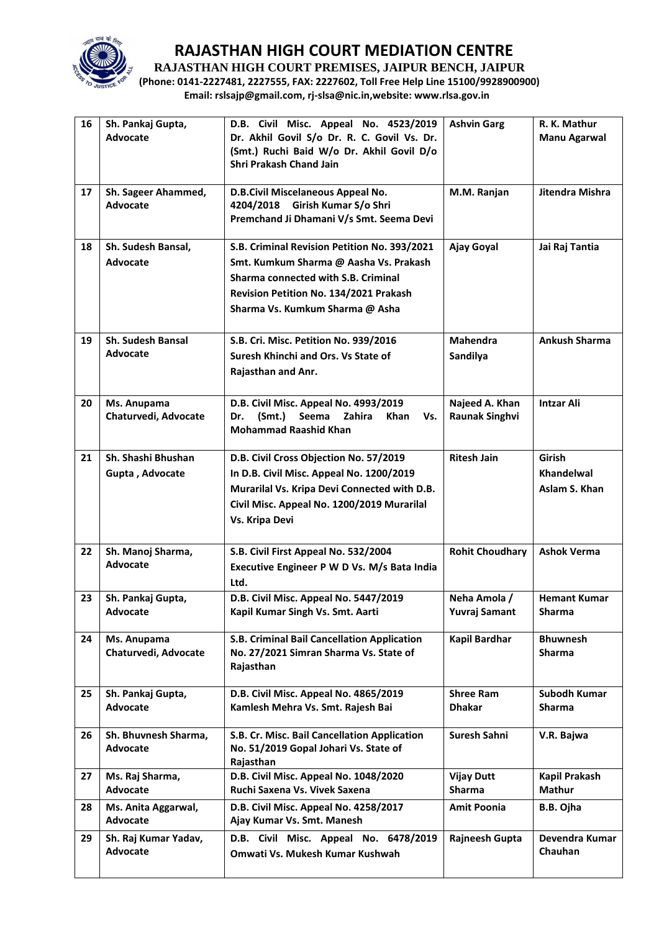

**RAJASTHAN HIGH COURT PREMISES, JAIPUR BENCH, JAIPUR**

**(Phone: 0141-2227481, 2227555, FAX: 2227602, Toll Free Help Line 15100/9928900900) Email: rslsajp@gmail.com, rj-slsa@nic.in,website: www.rlsa.gov.in**

| 16 | Sh. Pankaj Gupta,<br>Advocate               | D.B. Civil Misc. Appeal No. 4523/2019<br>Dr. Akhil Govil S/o Dr. R. C. Govil Vs. Dr.<br>(Smt.) Ruchi Baid W/o Dr. Akhil Govil D/o<br>Shri Prakash Chand Jain                                                      | <b>Ashvin Garg</b>                      | R. K. Mathur<br><b>Manu Agarwal</b>          |
|----|---------------------------------------------|-------------------------------------------------------------------------------------------------------------------------------------------------------------------------------------------------------------------|-----------------------------------------|----------------------------------------------|
| 17 | Sh. Sageer Ahammed,<br>Advocate             | D.B.Civil Miscelaneous Appeal No.<br>4204/2018 Girish Kumar S/o Shri<br>Premchand Ji Dhamani V/s Smt. Seema Devi                                                                                                  | M.M. Ranjan                             | Jitendra Mishra                              |
| 18 | Sh. Sudesh Bansal,<br>Advocate              | S.B. Criminal Revision Petition No. 393/2021<br>Smt. Kumkum Sharma @ Aasha Vs. Prakash<br>Sharma connected with S.B. Criminal<br><b>Revision Petition No. 134/2021 Prakash</b><br>Sharma Vs. Kumkum Sharma @ Asha | Ajay Goyal                              | Jai Raj Tantia                               |
| 19 | <b>Sh. Sudesh Bansal</b><br><b>Advocate</b> | S.B. Cri. Misc. Petition No. 939/2016<br>Suresh Khinchi and Ors. Vs State of<br>Rajasthan and Anr.                                                                                                                | <b>Mahendra</b><br>Sandilya             | <b>Ankush Sharma</b>                         |
| 20 | Ms. Anupama<br>Chaturvedi, Advocate         | D.B. Civil Misc. Appeal No. 4993/2019<br>(Smt.)<br>Seema<br>Zahira<br>Dr.<br>Khan<br>Vs.<br><b>Mohammad Raashid Khan</b>                                                                                          | Najeed A. Khan<br><b>Raunak Singhvi</b> | <b>Intzar Ali</b>                            |
| 21 | Sh. Shashi Bhushan<br>Gupta, Advocate       | D.B. Civil Cross Objection No. 57/2019<br>In D.B. Civil Misc. Appeal No. 1200/2019<br>Murarilal Vs. Kripa Devi Connected with D.B.<br>Civil Misc. Appeal No. 1200/2019 Murarilal<br>Vs. Kripa Devi                | <b>Ritesh Jain</b>                      | Girish<br><b>Khandelwal</b><br>Aslam S. Khan |
| 22 | Sh. Manoj Sharma,<br><b>Advocate</b>        | S.B. Civil First Appeal No. 532/2004<br>Executive Engineer P W D Vs. M/s Bata India<br>Ltd.                                                                                                                       | <b>Rohit Choudhary</b>                  | <b>Ashok Verma</b>                           |
| 23 | Sh. Pankaj Gupta,<br>Advocate               | D.B. Civil Misc. Appeal No. 5447/2019<br>Kapil Kumar Singh Vs. Smt. Aarti                                                                                                                                         | Neha Amola /<br>Yuvraj Samant           | <b>Hemant Kumar</b><br>Sharma                |
| 24 | Ms. Anupama<br>Chaturvedi, Advocate         | S.B. Criminal Bail Cancellation Application<br>No. 27/2021 Simran Sharma Vs. State of<br>Rajasthan                                                                                                                | <b>Kapil Bardhar</b>                    | <b>Bhuwnesh</b><br><b>Sharma</b>             |
| 25 | Sh. Pankaj Gupta,<br>Advocate               | D.B. Civil Misc. Appeal No. 4865/2019<br>Kamlesh Mehra Vs. Smt. Rajesh Bai                                                                                                                                        | <b>Shree Ram</b><br><b>Dhakar</b>       | Subodh Kumar<br><b>Sharma</b>                |
| 26 | Sh. Bhuvnesh Sharma,<br>Advocate            | S.B. Cr. Misc. Bail Cancellation Application<br>No. 51/2019 Gopal Johari Vs. State of<br>Rajasthan                                                                                                                | Suresh Sahni                            | V.R. Bajwa                                   |
| 27 | Ms. Raj Sharma,<br>Advocate                 | D.B. Civil Misc. Appeal No. 1048/2020<br>Ruchi Saxena Vs. Vivek Saxena                                                                                                                                            | <b>Vijay Dutt</b><br>Sharma             | Kapil Prakash<br><b>Mathur</b>               |
| 28 | Ms. Anita Aggarwal,<br>Advocate             | D.B. Civil Misc. Appeal No. 4258/2017<br>Ajay Kumar Vs. Smt. Manesh                                                                                                                                               | <b>Amit Poonia</b>                      | B.B. Ojha                                    |
| 29 | Sh. Raj Kumar Yadav,<br>Advocate            | D.B. Civil Misc. Appeal No. 6478/2019<br>Omwati Vs. Mukesh Kumar Kushwah                                                                                                                                          | Rajneesh Gupta                          | Devendra Kumar<br>Chauhan                    |